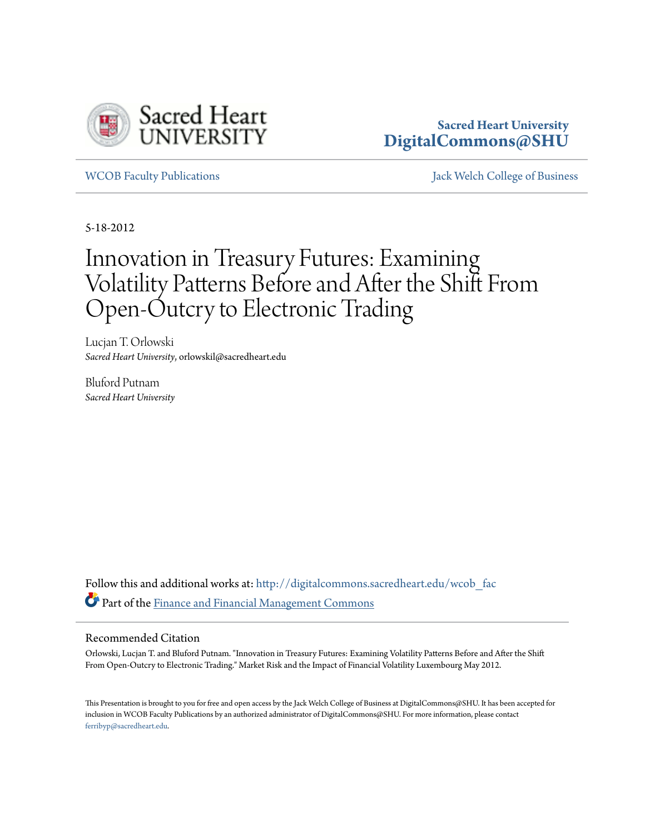

#### **Sacred Heart University [DigitalCommons@SHU](http://digitalcommons.sacredheart.edu?utm_source=digitalcommons.sacredheart.edu%2Fwcob_fac%2F352&utm_medium=PDF&utm_campaign=PDFCoverPages)**

[WCOB Faculty Publications](http://digitalcommons.sacredheart.edu/wcob_fac?utm_source=digitalcommons.sacredheart.edu%2Fwcob_fac%2F352&utm_medium=PDF&utm_campaign=PDFCoverPages) [Jack Welch College of Business](http://digitalcommons.sacredheart.edu/wcob?utm_source=digitalcommons.sacredheart.edu%2Fwcob_fac%2F352&utm_medium=PDF&utm_campaign=PDFCoverPages)

5-18-2012

### Innovation in Treasury Futures: Examining Volatility Patterns Before and After the Shift From Open-Outcry to Electronic Trading

Lucjan T. Orlowski *Sacred Heart University*, orlowskil@sacredheart.edu

Bluford Putnam *Sacred Heart University*

Follow this and additional works at: [http://digitalcommons.sacredheart.edu/wcob\\_fac](http://digitalcommons.sacredheart.edu/wcob_fac?utm_source=digitalcommons.sacredheart.edu%2Fwcob_fac%2F352&utm_medium=PDF&utm_campaign=PDFCoverPages) Part of the [Finance and Financial Management Commons](http://network.bepress.com/hgg/discipline/631?utm_source=digitalcommons.sacredheart.edu%2Fwcob_fac%2F352&utm_medium=PDF&utm_campaign=PDFCoverPages)

#### Recommended Citation

Orlowski, Lucjan T. and Bluford Putnam. "Innovation in Treasury Futures: Examining Volatility Patterns Before and After the Shift From Open-Outcry to Electronic Trading." Market Risk and the Impact of Financial Volatility Luxembourg May 2012.

This Presentation is brought to you for free and open access by the Jack Welch College of Business at DigitalCommons@SHU. It has been accepted for inclusion in WCOB Faculty Publications by an authorized administrator of DigitalCommons@SHU. For more information, please contact [ferribyp@sacredheart.edu](mailto:ferribyp@sacredheart.edu).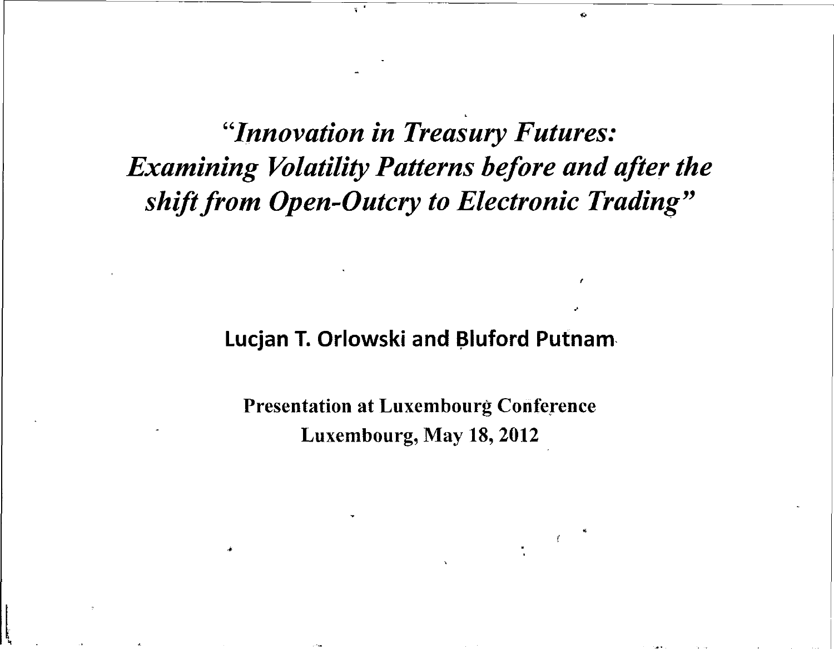"Innovation in Treasury Futures: **Examining Volatility Patterns before and after the** shift from Open-Outcry to Electronic Trading"

### Lucjan T. Orlowski and Bluford Putnam

**Presentation at Luxembourg Conference** Luxembourg, May 18, 2012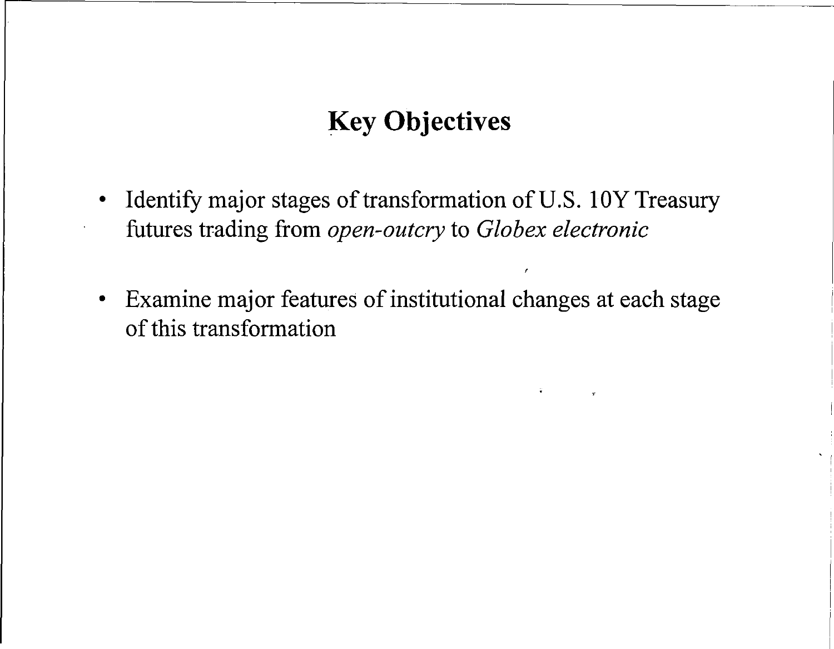# **K e y Objective s**

- Identify major stages of transformation of U.S. 10Y Treasury futures trading from *open-outcry* to *Globex electronic*
- Examine major features of institutional changes at each stage  $\bullet$ of this transformation

 $\pmb{\prime}$ 

 $\widetilde{\mathbf{r}}$  , where  $\mathbf{r}$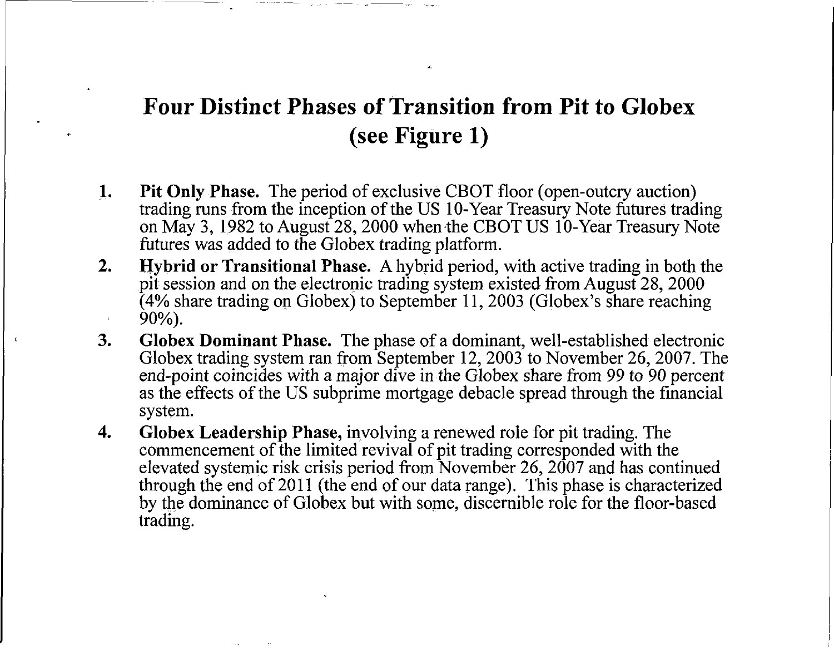## **Four Distinct Phases of Transition from Pit to Globex (se e Figur e 1 )**

- **1.** Pit Only Phase. The period of exclusive CBOT floor (open-outcry auction) trading runs from the inception of the US 10-Year Treasury Note futures trading on May 3, 1982 to August 28, 2000 when the CBOT US 10-Year Treasury Note futures was added to the Globex trading platform.
- **2. Hybrid or Transitional Phase.** A hybrid period, with active trading in both the pit session and on the electronic trading system existed from August 28, 2000  $(4%$  share trading on Globex) to September 11, 2003 (Globex's share reaching  $90\%$ ).
- **3.** Globex Dominant Phase. The phase of a dominant, well-established electronic Globex trading system ran from September 12, 2003 to November 26, 2007. The end-point coincides with a major dive in the Globex share from 99 to 90 percent as the effects of the US subprime mortgage debacle spread through the financial system.
- **4.** Globex Leadership Phase, involving a renewed role for pit trading. The commencement of the limited revival of pit trading corresponded with the elevated systemic risk crisis period from November 26, 2007 and has continued through the end of 2011 (the end of our data range). This phase is characterized by the dominance of Globex but with some, discernible role for the floor-based trading.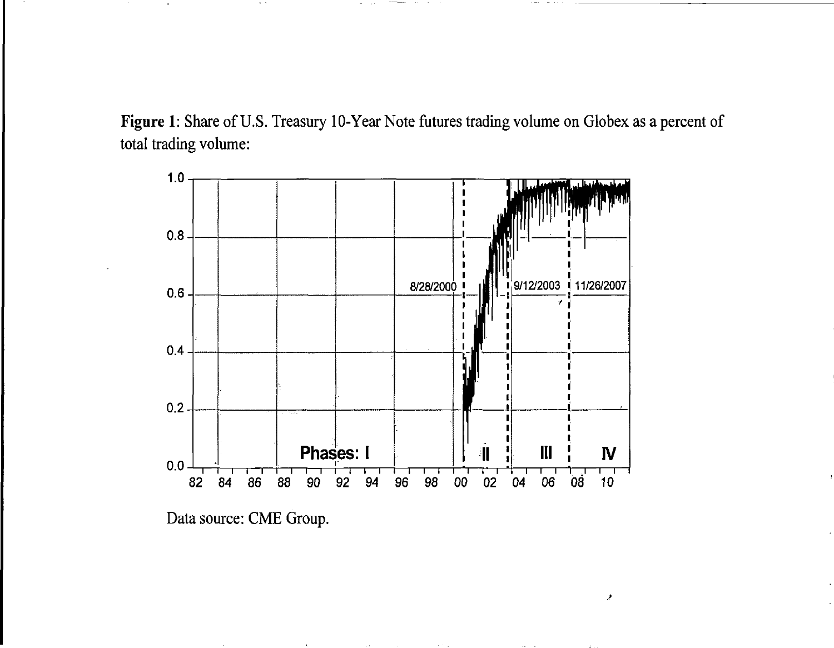Figure 1: Share of U.S. Treasury 10-Year Note futures trading volume on Globex as a percent of total trading volume:



Data source: CME Group.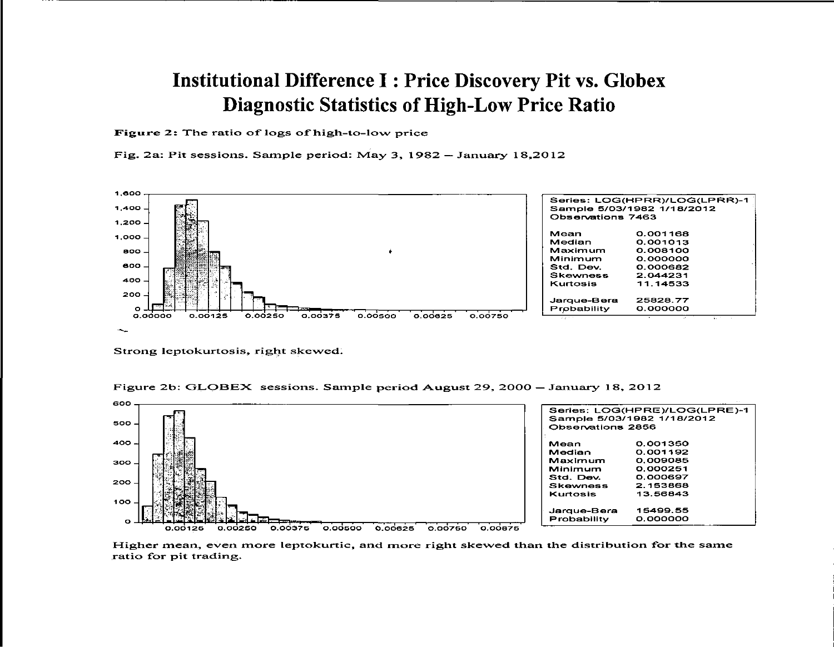#### **Institutional Difference I: Price Discovery Pit vs. Globex Diagnostic Statistics of High-Low Price Ratio**

Figure 2: The ratio of logs of high-to-low price

Fig. 2a: Pit sessions. Sample period: May 3,  $1982 - January 18,2012$ 



Strong leptokurtosis, right skewed.



Figure 2b: GLOBEX sessions. Sample period August 29, 2000 – January 18, 2012

Higher mean, even more leptokurtic, and more right skewed than the distribution for the same ratio for pit trading.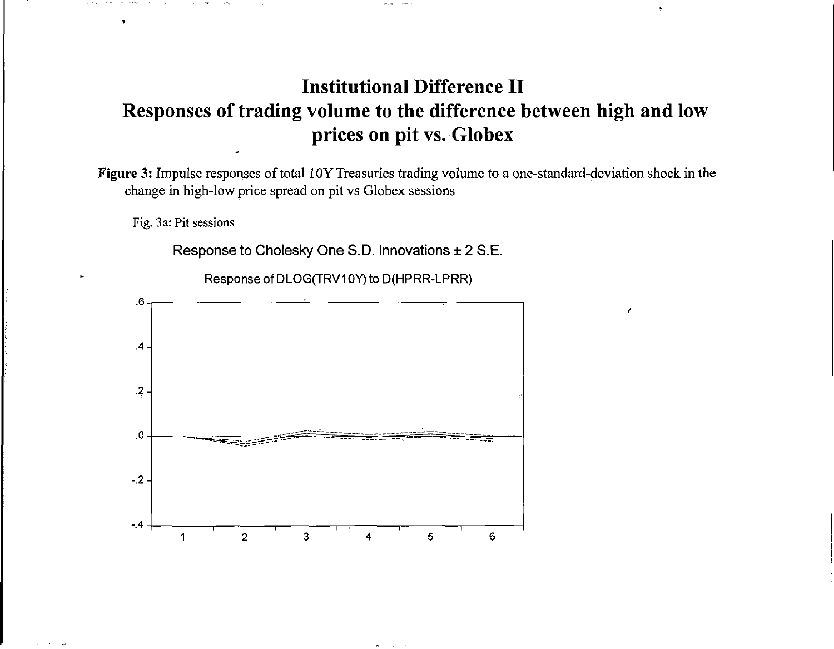### **Institutional Difference II Response s o f tradin g volum e t o th e differenc e betwee n hig h an d lo w price s o n pi t vs . Globe x**

Figure 3: Impulse responses of total 10Y Treasuries trading volume to a one-standard-deviation shock in the change in high-low price spread on pit vs Globex sessions

Fig. 3a: Pit sessions

 $\bar{\mathbf{A}}$ 

Response to Cholesky One S.D. Innovations  $\pm 2$  S.E.

Response of DLOG(TRV10Y) to D(HPRR-LPRR)

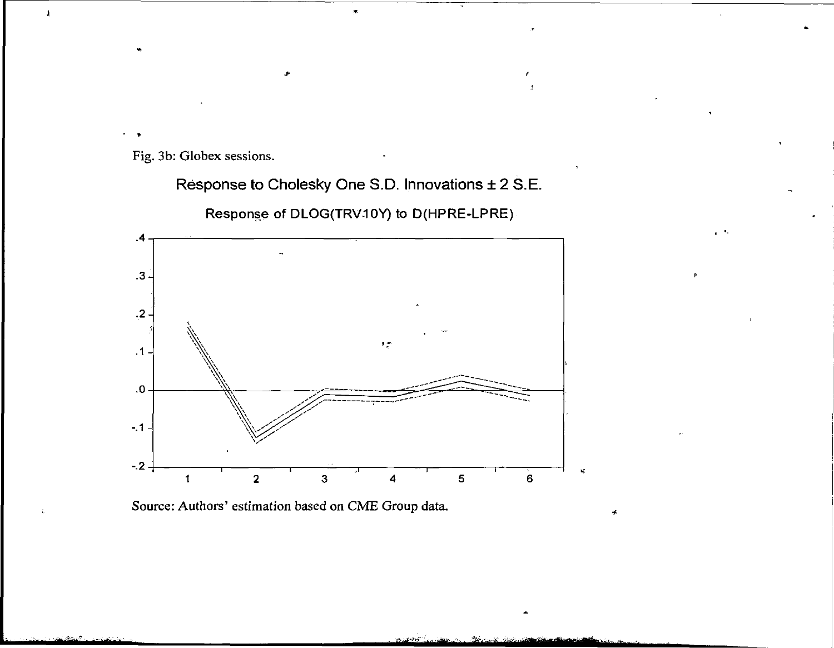Fig. 3b: Globex sessions.

**Respons e to Cholesky On e S.D . Innovation s ± 2 S.E . Response of DLOG(TRVIOY ) to D(HPRE-LPRE )** 

"∴nes



Source: Authors' estimation based on CME Group data.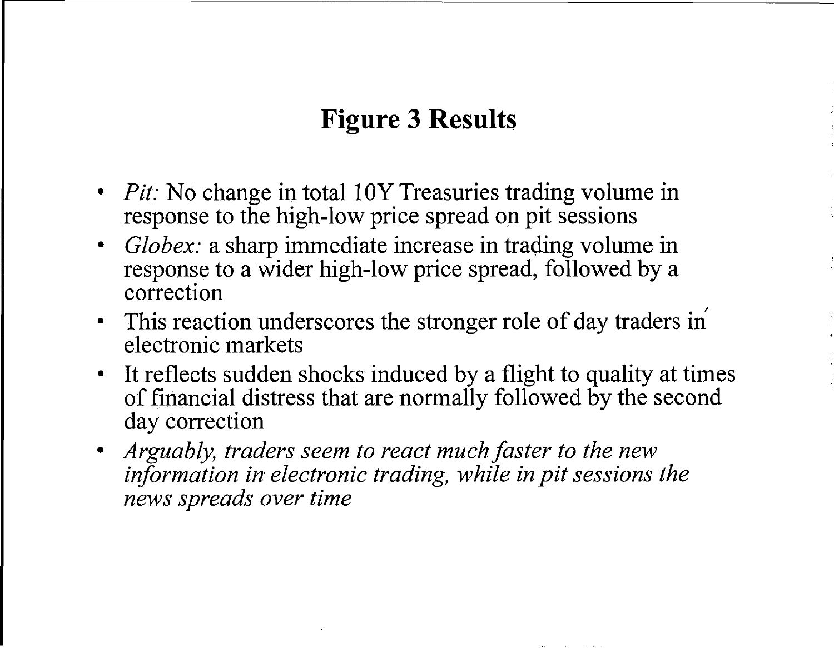# **Figure** 3 Results

- *Pit*: No change in total 10Y Treasuries trading volume in **response to the high-low price spread on pit sessions**
- *Globex:* a sharp immediate increase in trading volume in **response to a wider high-low price spread, followed by a correctio n**
- This reaction underscores the stronger role of day traders in **electronic markets**
- It reflects sudden shocks induced by a flight to quality at times  $\bullet$ **o f financia l distres s tha t ar e normall y followe d b y th e secon d**  day correction
- Arguably, traders seem to react much faster to the new *information in electronic trading, while in pit sessions the news spreads over time*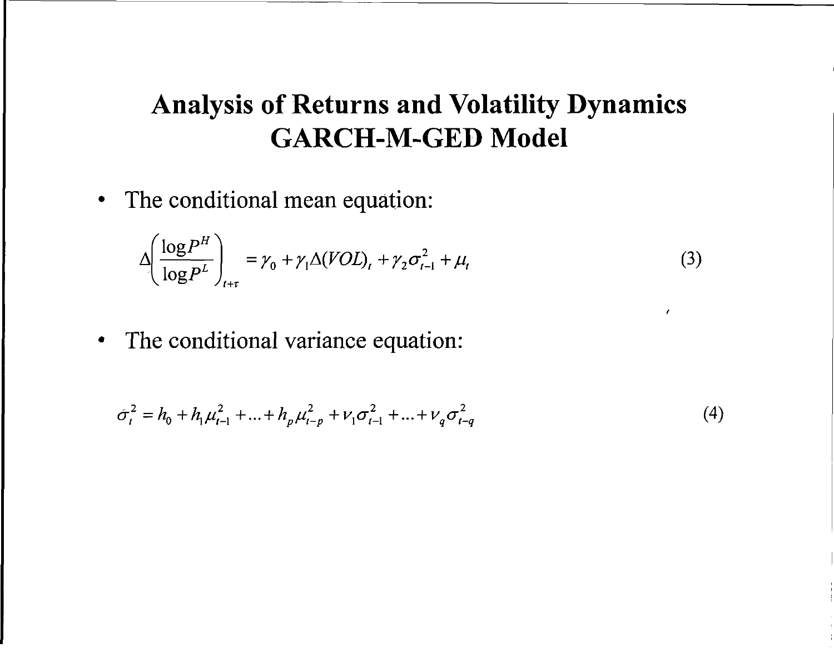# **Analysi s o f Return s an d Volatilit y Dynamic s GARCH-M-GE D Mode l**

• The conditional mean equation:

$$
\Delta \left( \frac{\log P^H}{\log P^L} \right)_{t+\tau} = \gamma_0 + \gamma_1 \Delta (VOL)_t + \gamma_2 \sigma_{t-1}^2 + \mu_t \tag{3}
$$

 $\epsilon$ 

• The conditional variance equation:

$$
\sigma_t^2 = h_0 + h_1 \mu_{t-1}^2 + \dots + h_p \mu_{t-p}^2 + \nu_1 \sigma_{t-1}^2 + \dots + \nu_q \sigma_{t-q}^2 \tag{4}
$$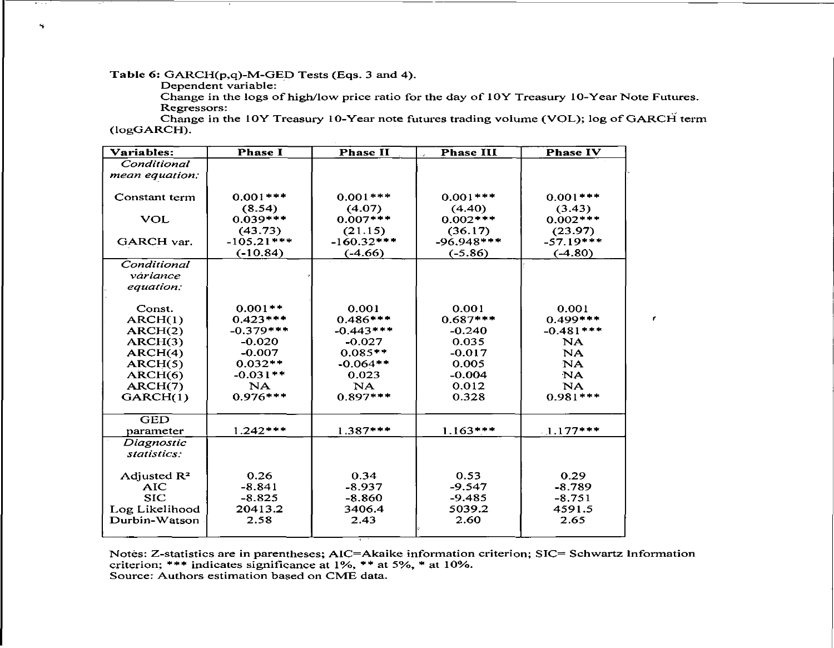Table 6: GARCH(p,q)-M-GED Tests (Eqs. 3 and 4).

Dependent variable:

Change in the logs of high/low price ratio for the day of 10Y Treasury 10-Year Note Futures. Regressors:

 $\mathbf{r}$ 

Change in the 10Y Treasury 10-Year note futures trading volume (VOL); log of GARCH term  $(logGARCH)$ .

| Variables:                  | <b>Phase I</b> | <b>Phase II</b> | <b>Phase III</b> | <b>Phase IV</b> |
|-----------------------------|----------------|-----------------|------------------|-----------------|
| Conditional                 |                |                 |                  |                 |
| mean equation:              |                |                 |                  |                 |
|                             |                |                 |                  |                 |
| Constant term               | $0.001***$     | $0.001***$      | $0.001***$       | $0.001***$      |
|                             | (8.54)         | (4.07)          | (4.40)           | (3.43)          |
| <b>VOL</b>                  | $0.039***$     | $0.007***$      | $0.002***$       | $0.002***$      |
|                             | (43.73)        | (21.15)         | (36.17)          | (23.97)         |
| GARCH var.                  | $-105.21***$   | $-160.32***$    | $-96.948***$     | $-57.19***$     |
|                             | $(-10.84)$     | $(-4.66)$       | $(-5.86)$        | $(-4.80)$       |
| Conditional                 |                |                 |                  |                 |
| váriance                    |                |                 |                  |                 |
| equation:                   |                |                 |                  |                 |
| Const.                      | $0.001**$      | 0.001           | 0.001            | 0.001           |
| ARCH(1)                     | $0.423***$     | $0.486***$      | $0.687***$       | $0.499***$      |
| ARCH(2)                     | $-0.379***$    | $-0.443***$     | $-0.240$         | $-0.481***$     |
| ARCH(3)                     | $-0.020$       | $-0.027$        | 0.035            | NA              |
| ARCH(4)                     | $-0.007$       | $0.085**$       | $-0.017$         | <b>NA</b>       |
| ARCH(5)                     | $0.032**$      | $-0.064**$      | 0.005            | NA.             |
| $\overline{\text{ARCH}(6)}$ | $-0.031**$     | 0.023           | $-0.004$         | NA.             |
| ARCH(7)                     | NA             | NA              | 0.012            | NA.             |
| GARCH(1)                    | $0.976***$     | $0.897***$      | 0.328            | $0.981***$      |
|                             |                |                 |                  |                 |
| <b>GED</b>                  |                |                 |                  |                 |
| parameter                   | $1.242***$     | $1.387***$      | $1.163***$       | $1.177***$      |
| Diagnostic                  |                |                 |                  |                 |
| statistics:                 |                |                 |                  |                 |
| Adjusted $\mathbb{R}^2$     | 0.26           | 0.34            | 0.53             | 0.29            |
| <b>AIC</b>                  | $-8.841$       | $-8.937$        | $-9.547$         | $-8.789$        |
| <b>SIC</b>                  | $-8.825$       | $-8.860$        | $-9.485$         | $-8.751$        |
| Log Likelihood              | 20413.2        | 3406.4          | 5039.2           | 4591.5          |
| Durbin-Watson               | 2.58           | 2.43            | 2.60             | 2.65            |
|                             |                |                 |                  |                 |

Notes: Z-statistics are in parentheses; AIC=Akaike information criterion; SIC= Schwartz Information criterion; \*\*\* indicates significance at  $1\%$ , \*\* at  $5\%$ , \* at  $10\%$ . Source: Authors estimation based on CME data.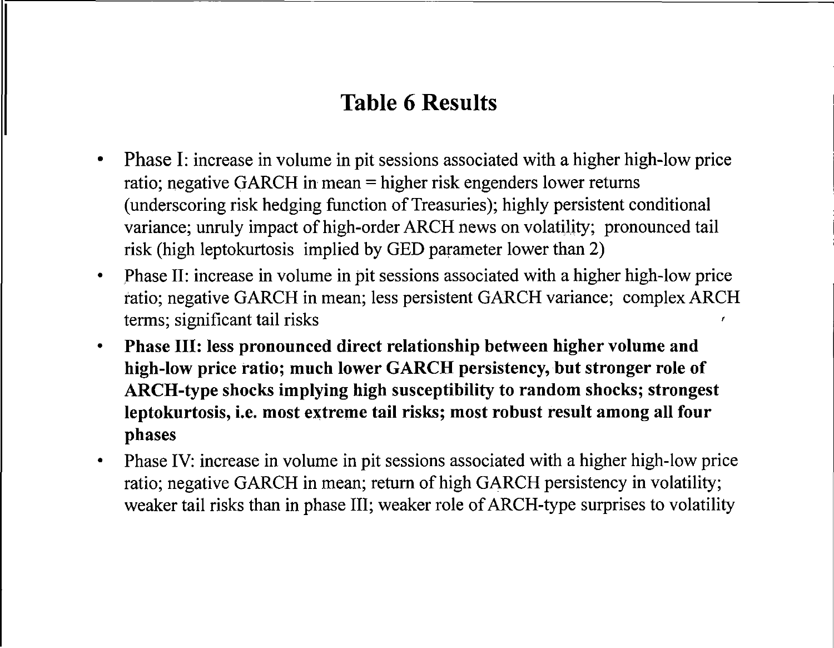## **Table 6 Results**

- **Phase I:** increase in volume in pit sessions associated with a higher high-low price  $\bullet$ ratio; negative GARCH in mean  $=$  higher risk engenders lower returns (underscoring risk hedging function of Treasuries); highly persistent conditional variance; unruly impact of high-order ARCH news on volatility; pronounced tail risk (high leptokurtosis implied by GED parameter lower than 2)
- Phase II: increase in volume in pit sessions associated with a higher high-low price  $\bullet$ ratio; negative GARCH in mean; less persistent GARCH variance; complex ARCH terms; significant tail risks
- **Phas e III : les s pronounce d direc t relationshi p betwee n highe r volum e an d**   $\bullet$ **high-lo w pric e ratio ; muc h lowe r GARC H persistency , bu t stronge r rol e o f ARCH-typ e shock s implyin g hig h susceptibilit y t o rando m shocks ; stronges t leptokurtosis , i.e . mos t extrem e tai l risks ; mos t robus t resul t amon g al l fou r phase s**
- Phase IV: increase in volume in pit sessions associated with a higher high-low price  $\bullet$ ratio; negative GARCH in mean; return of high GARCH persistency in volatility; weaker tail risks than in phase III; weaker role of ARCH-type surprises to volatility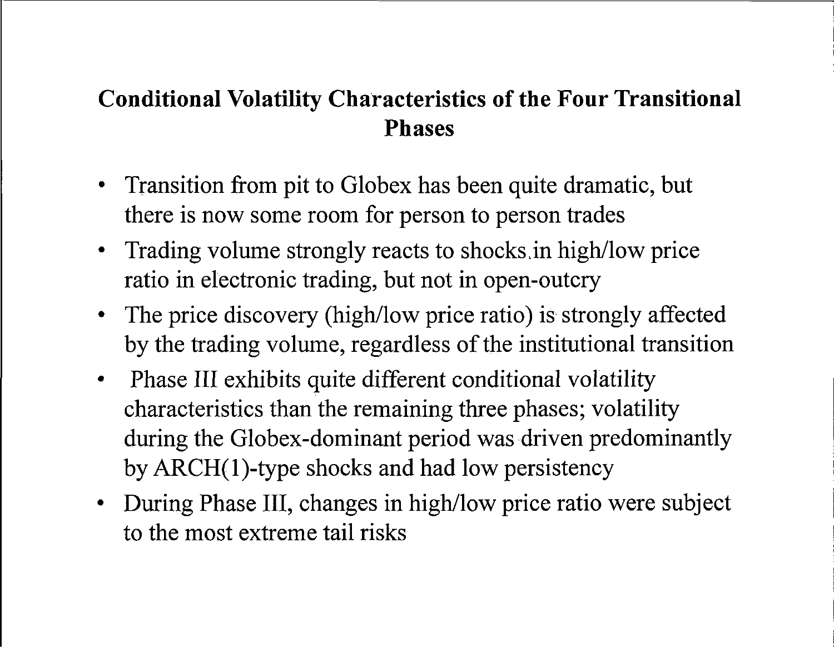## **Conditional Volatility Characteristics of the Four Transitional Phases**

- Transition from pit to Globex has been quite dramatic, but there is now some room for person to person trades
- Trading volume strongly reacts to shocks in high/low price ratio in electronic trading, but not in open-outcry
- The price discovery (high/low price ratio) is strongly affected by the trading volume, regardless of the institutional transition
- Phase III exhibits quite different conditional volatility characteristics than the remaining three phases; volatility during the Globex-dominant period was driven predominantly by  $ARCH(1)$ -type shocks and had low persistency
- During Phase III, changes in high/low price ratio were subject to the most extreme tail risks